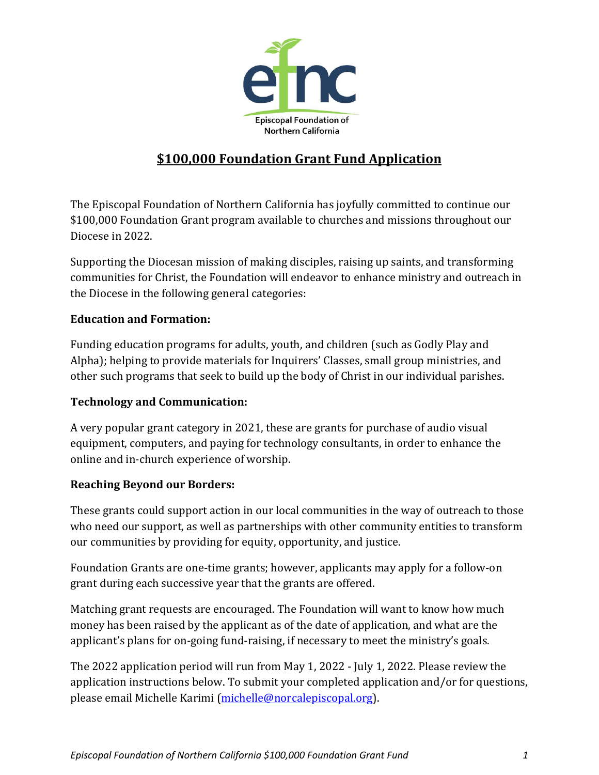

## **\$100,000 Foundation Grant Fund Application**

The Episcopal Foundation of Northern California has joyfully committed to continue our \$100,000 Foundation Grant program available to churches and missions throughout our Diocese in 2022.

Supporting the Diocesan mission of making disciples, raising up saints, and transforming communities for Christ, the Foundation will endeavor to enhance ministry and outreach in the Diocese in the following general categories:

## **Education and Formation:**

Funding education programs for adults, youth, and children (such as Godly Play and Alpha); helping to provide materials for Inquirers' Classes, small group ministries, and other such programs that seek to build up the body of Christ in our individual parishes.

## **Technology and Communication:**

A very popular grant category in 2021, these are grants for purchase of audio visual equipment, computers, and paying for technology consultants, in order to enhance the online and in-church experience of worship.

## **Reaching Beyond our Borders:**

These grants could support action in our local communities in the way of outreach to those who need our support, as well as partnerships with other community entities to transform our communities by providing for equity, opportunity, and justice.

Foundation Grants are one-time grants; however, applicants may apply for a follow-on grant during each successive year that the grants are offered.

Matching grant requests are encouraged. The Foundation will want to know how much money has been raised by the applicant as of the date of application, and what are the applicant's plans for on-going fund-raising, if necessary to meet the ministry's goals.

The 2022 application period will run from May 1, 2022 - July 1, 2022. Please review the application instructions below. To submit your completed application and/or for questions, please email Michelle Karimi [\(michelle@norcalepiscopal.org\)](mailto:michelle@norcalepiscopal.org).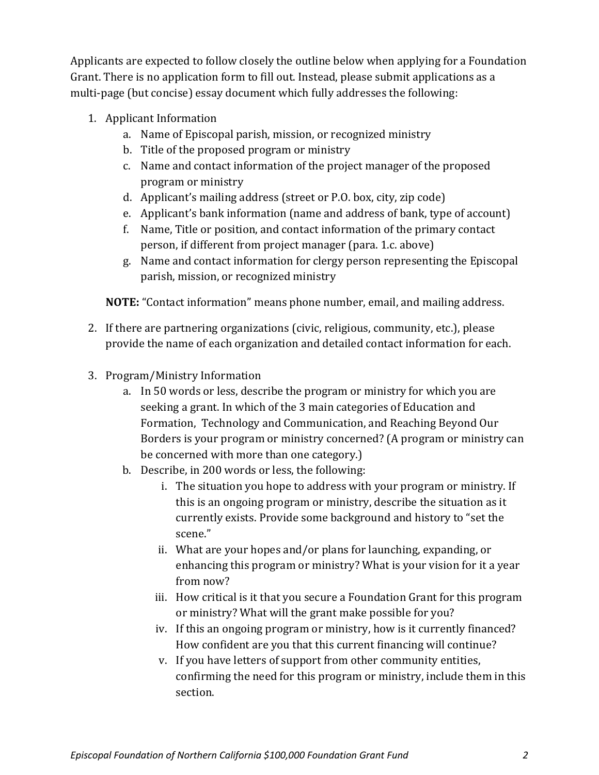Applicants are expected to follow closely the outline below when applying for a Foundation Grant. There is no application form to fill out. Instead, please submit applications as a multi-page (but concise) essay document which fully addresses the following:

- 1. Applicant Information
	- a. Name of Episcopal parish, mission, or recognized ministry
	- b. Title of the proposed program or ministry
	- c. Name and contact information of the project manager of the proposed program or ministry
	- d. Applicant's mailing address (street or P.O. box, city, zip code)
	- e. Applicant's bank information (name and address of bank, type of account)
	- f. Name, Title or position, and contact information of the primary contact person, if different from project manager (para. 1.c. above)
	- g. Name and contact information for clergy person representing the Episcopal parish, mission, or recognized ministry

**NOTE:** "Contact information" means phone number, email, and mailing address.

- 2. If there are partnering organizations (civic, religious, community, etc.), please provide the name of each organization and detailed contact information for each.
- 3. Program/Ministry Information
	- a. In 50 words or less, describe the program or ministry for which you are seeking a grant. In which of the 3 main categories of Education and Formation, Technology and Communication, and Reaching Beyond Our Borders is your program or ministry concerned? (A program or ministry can be concerned with more than one category.)
	- b. Describe, in 200 words or less, the following:
		- i. The situation you hope to address with your program or ministry. If this is an ongoing program or ministry, describe the situation as it currently exists. Provide some background and history to "set the scene."
		- ii. What are your hopes and/or plans for launching, expanding, or enhancing this program or ministry? What is your vision for it a year from now?
		- iii. How critical is it that you secure a Foundation Grant for this program or ministry? What will the grant make possible for you?
		- iv. If this an ongoing program or ministry, how is it currently financed? How confident are you that this current financing will continue?
		- v. If you have letters of support from other community entities, confirming the need for this program or ministry, include them in this section.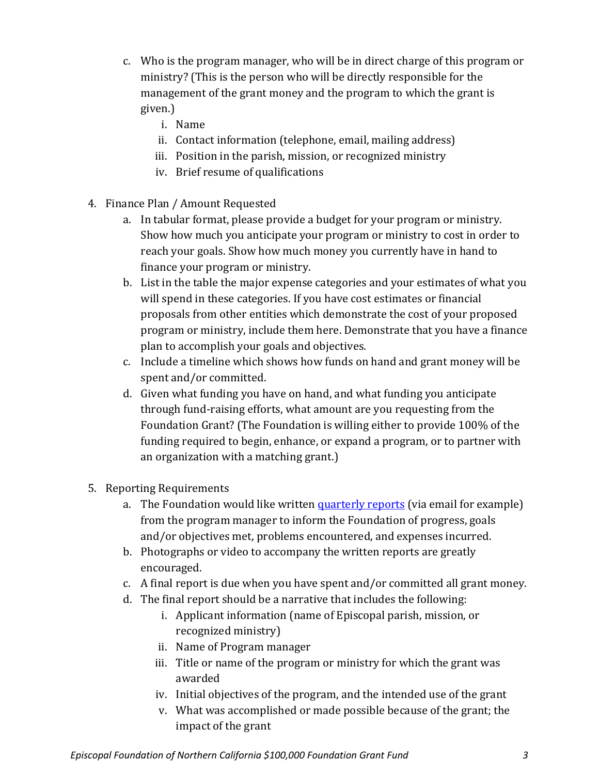- c. Who is the program manager, who will be in direct charge of this program or ministry? (This is the person who will be directly responsible for the management of the grant money and the program to which the grant is given.)
	- i. Name
	- ii. Contact information (telephone, email, mailing address)
	- iii. Position in the parish, mission, or recognized ministry
	- iv. Brief resume of qualifications
- 4. Finance Plan / Amount Requested
	- a. In tabular format, please provide a budget for your program or ministry. Show how much you anticipate your program or ministry to cost in order to reach your goals. Show how much money you currently have in hand to finance your program or ministry.
	- b. List in the table the major expense categories and your estimates of what you will spend in these categories. If you have cost estimates or financial proposals from other entities which demonstrate the cost of your proposed program or ministry, include them here. Demonstrate that you have a finance plan to accomplish your goals and objectives.
	- c. Include a timeline which shows how funds on hand and grant money will be spent and/or committed.
	- d. Given what funding you have on hand, and what funding you anticipate through fund-raising efforts, what amount are you requesting from the Foundation Grant? (The Foundation is willing either to provide 100% of the funding required to begin, enhance, or expand a program, or to partner with an organization with a matching grant.)
- 5. Reporting Requirements
	- a. The Foundation would like written [quarterly](https://norcalepiscopalfoundation.org.dream.website/wp-content/uploads/2022/04/2022-Foundation-Grant-Status-Report.pdf) reports (via email for example) from the program manager to inform the Foundation of progress, goals and/or objectives met, problems encountered, and expenses incurred.
	- b. Photographs or video to accompany the written reports are greatly encouraged.
	- c. A final report is due when you have spent and/or committed all grant money.
	- d. The final report should be a narrative that includes the following:
		- i. Applicant information (name of Episcopal parish, mission, or recognized ministry)
		- ii. Name of Program manager
		- iii. Title or name of the program or ministry for which the grant was awarded
		- iv. Initial objectives of the program, and the intended use of the grant
		- v. What was accomplished or made possible because of the grant; the impact of the grant